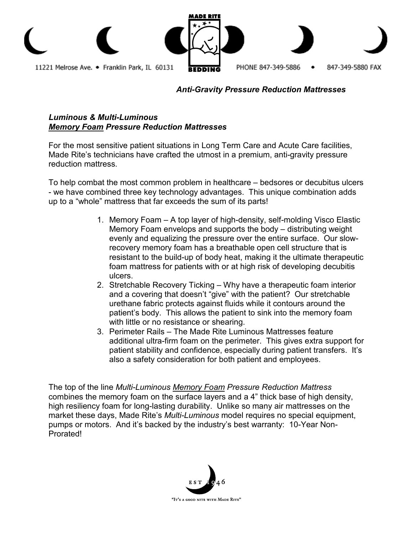

## **Anti-Gravity Pressure Reduction Mattresses**

## **Luminous & Multi-Luminous Memory Foam Pressure Reduction Mattresses**

For the most sensitive patient situations in Long Term Care and Acute Care facilities, Made Rite's technicians have crafted the utmost in a premium, anti-gravity pressure reduction mattress.

To help combat the most common problem in healthcare – bedsores or decubitus ulcers - we have combined three key technology advantages. This unique combination adds up to a "whole" mattress that far exceeds the sum of its parts!

- 1. Memory Foam A top layer of high-density, self-molding Visco Elastic Memory Foam envelops and supports the body – distributing weight evenly and equalizing the pressure over the entire surface. Our slowrecovery memory foam has a breathable open cell structure that is resistant to the build-up of body heat, making it the ultimate therapeutic foam mattress for patients with or at high risk of developing decubitis ulcers.
- 2. Stretchable Recovery Ticking Why have a therapeutic foam interior and a covering that doesn't "give" with the patient? Our stretchable urethane fabric protects against fluids while it contours around the patient's body. This allows the patient to sink into the memory foam with little or no resistance or shearing.
- 3. Perimeter Rails The Made Rite Luminous Mattresses feature additional ultra-firm foam on the perimeter. This gives extra support for patient stability and confidence, especially during patient transfers. It's also a safety consideration for both patient and employees.

The top of the line Multi-Luminous Memory Foam Pressure Reduction Mattress combines the memory foam on the surface layers and a 4" thick base of high density, high resiliency foam for long-lasting durability. Unlike so many air mattresses on the market these days, Made Rite's *Multi-Luminous* model requires no special equipment, pumps or motors. And it's backed by the industry's best warranty: 10-Year Non-Prorated!